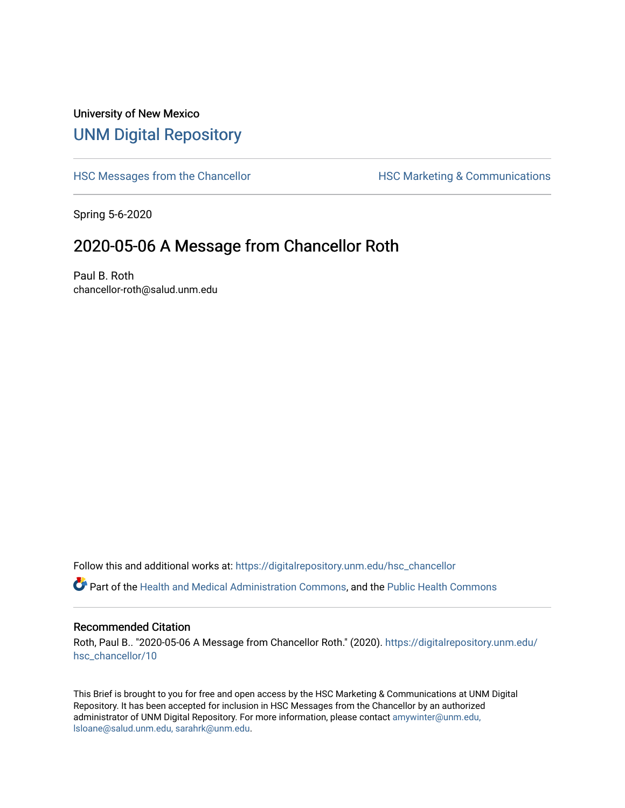## University of New Mexico [UNM Digital Repository](https://digitalrepository.unm.edu/)

[HSC Messages from the Chancellor](https://digitalrepository.unm.edu/hsc_chancellor) **HSC Marketing & Communications** 

Spring 5-6-2020

## 2020-05-06 A Message from Chancellor Roth

Paul B. Roth chancellor-roth@salud.unm.edu

Follow this and additional works at: [https://digitalrepository.unm.edu/hsc\\_chancellor](https://digitalrepository.unm.edu/hsc_chancellor?utm_source=digitalrepository.unm.edu%2Fhsc_chancellor%2F10&utm_medium=PDF&utm_campaign=PDFCoverPages) 

Part of the [Health and Medical Administration Commons](http://network.bepress.com/hgg/discipline/663?utm_source=digitalrepository.unm.edu%2Fhsc_chancellor%2F10&utm_medium=PDF&utm_campaign=PDFCoverPages), and the [Public Health Commons](http://network.bepress.com/hgg/discipline/738?utm_source=digitalrepository.unm.edu%2Fhsc_chancellor%2F10&utm_medium=PDF&utm_campaign=PDFCoverPages) 

#### Recommended Citation

Roth, Paul B.. "2020-05-06 A Message from Chancellor Roth." (2020). [https://digitalrepository.unm.edu/](https://digitalrepository.unm.edu/hsc_chancellor/10?utm_source=digitalrepository.unm.edu%2Fhsc_chancellor%2F10&utm_medium=PDF&utm_campaign=PDFCoverPages) [hsc\\_chancellor/10](https://digitalrepository.unm.edu/hsc_chancellor/10?utm_source=digitalrepository.unm.edu%2Fhsc_chancellor%2F10&utm_medium=PDF&utm_campaign=PDFCoverPages) 

This Brief is brought to you for free and open access by the HSC Marketing & Communications at UNM Digital Repository. It has been accepted for inclusion in HSC Messages from the Chancellor by an authorized administrator of UNM Digital Repository. For more information, please contact [amywinter@unm.edu,](mailto:amywinter@unm.edu,%20lsloane@salud.unm.edu,%20sarahrk@unm.edu) [lsloane@salud.unm.edu, sarahrk@unm.edu.](mailto:amywinter@unm.edu,%20lsloane@salud.unm.edu,%20sarahrk@unm.edu)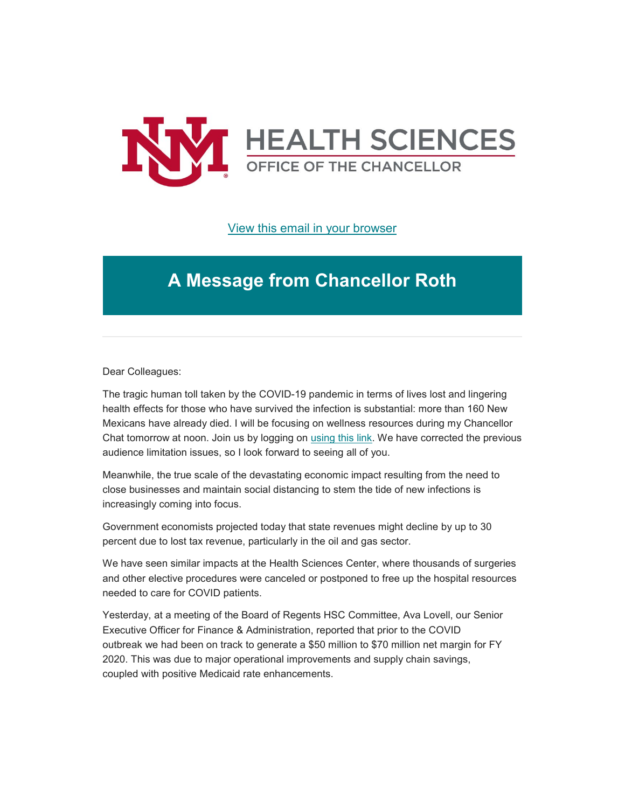

### [View this email in your browser](https://mailchi.mp/34466a24656c/message-from-the-chancellor-coronavirus-4408196?e=b4bbfca2c0)

# **A Message from Chancellor Roth**

Dear Colleagues:

The tragic human toll taken by the COVID-19 pandemic in terms of lives lost and lingering health effects for those who have survived the infection is substantial: more than 160 New Mexicans have already died. I will be focusing on wellness resources during my Chancellor Chat tomorrow at noon. Join us by logging on [using this link.](https://unm.us19.list-manage.com/track/click?u=59ce53c1a4dedb490bac78648&id=02c9777307&e=b4bbfca2c0) We have corrected the previous audience limitation issues, so I look forward to seeing all of you.

Meanwhile, the true scale of the devastating economic impact resulting from the need to close businesses and maintain social distancing to stem the tide of new infections is increasingly coming into focus.

Government economists projected today that state revenues might decline by up to 30 percent due to lost tax revenue, particularly in the oil and gas sector.

We have seen similar impacts at the Health Sciences Center, where thousands of surgeries and other elective procedures were canceled or postponed to free up the hospital resources needed to care for COVID patients.

Yesterday, at a meeting of the Board of Regents HSC Committee, Ava Lovell, our Senior Executive Officer for Finance & Administration, reported that prior to the COVID outbreak we had been on track to generate a \$50 million to \$70 million net margin for FY 2020. This was due to major operational improvements and supply chain savings, coupled with positive Medicaid rate enhancements.